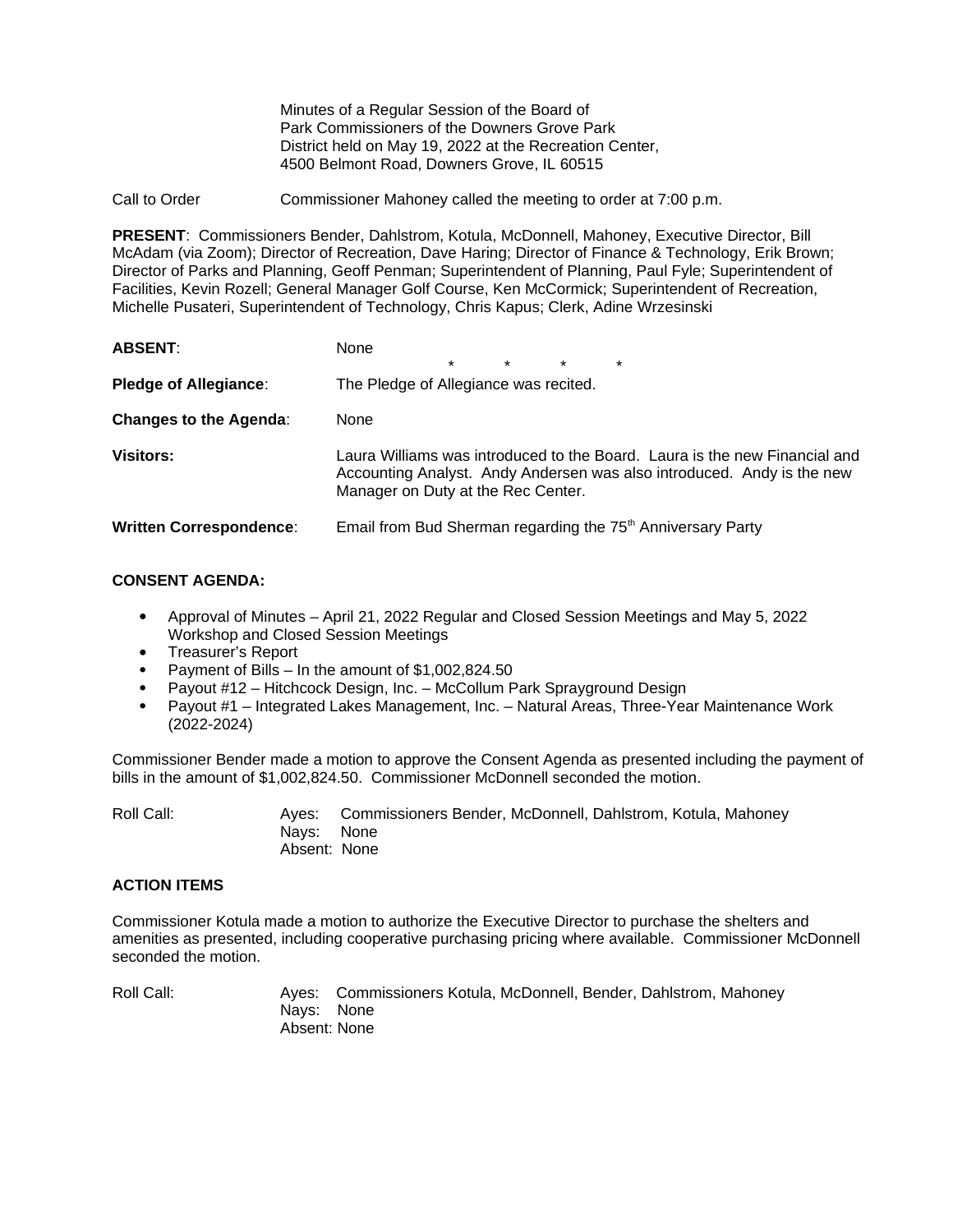Minutes of a Regular Session of the Board of Park Commissioners of the Downers Grove Park District held on May 19, 2022 at the Recreation Center, 4500 Belmont Road, Downers Grove, IL 60515

Call to Order Commissioner Mahoney called the meeting to order at 7:00 p.m.

**PRESENT**: Commissioners Bender, Dahlstrom, Kotula, McDonnell, Mahoney, Executive Director, Bill McAdam (via Zoom); Director of Recreation, Dave Haring; Director of Finance & Technology, Erik Brown; Director of Parks and Planning, Geoff Penman; Superintendent of Planning, Paul Fyle; Superintendent of Facilities, Kevin Rozell; General Manager Golf Course, Ken McCormick; Superintendent of Recreation, Michelle Pusateri, Superintendent of Technology, Chris Kapus; Clerk, Adine Wrzesinski

| <b>ABSENT:</b>                 | None<br>$\star$<br>$\star$<br>$\star$<br>$\star$                                                                                                                                           |
|--------------------------------|--------------------------------------------------------------------------------------------------------------------------------------------------------------------------------------------|
| <b>Pledge of Allegiance:</b>   | The Pledge of Allegiance was recited.                                                                                                                                                      |
| <b>Changes to the Agenda:</b>  | None                                                                                                                                                                                       |
| <b>Visitors:</b>               | Laura Williams was introduced to the Board. Laura is the new Financial and<br>Accounting Analyst. Andy Andersen was also introduced. Andy is the new<br>Manager on Duty at the Rec Center. |
| <b>Written Correspondence:</b> | Email from Bud Sherman regarding the 75 <sup>th</sup> Anniversary Party                                                                                                                    |

## **CONSENT AGENDA:**

- Approval of Minutes April 21, 2022 Regular and Closed Session Meetings and May 5, 2022 Workshop and Closed Session Meetings
- Treasurer's Report
- Payment of Bills In the amount of \$1,002,824.50
- Payout #12 Hitchcock Design, Inc. McCollum Park Sprayground Design
- Payout #1 Integrated Lakes Management, Inc. Natural Areas, Three-Year Maintenance Work (2022-2024)

Commissioner Bender made a motion to approve the Consent Agenda as presented including the payment of bills in the amount of \$1,002,824.50. Commissioner McDonnell seconded the motion.

Roll Call: Ayes: Commissioners Bender, McDonnell, Dahlstrom, Kotula, Mahoney Nays: None Absent: None

# **ACTION ITEMS**

Commissioner Kotula made a motion to authorize the Executive Director to purchase the shelters and amenities as presented, including cooperative purchasing pricing where available. Commissioner McDonnell seconded the motion.

Roll Call: Ayes: Commissioners Kotula, McDonnell, Bender, Dahlstrom, Mahoney Nays: None Absent: None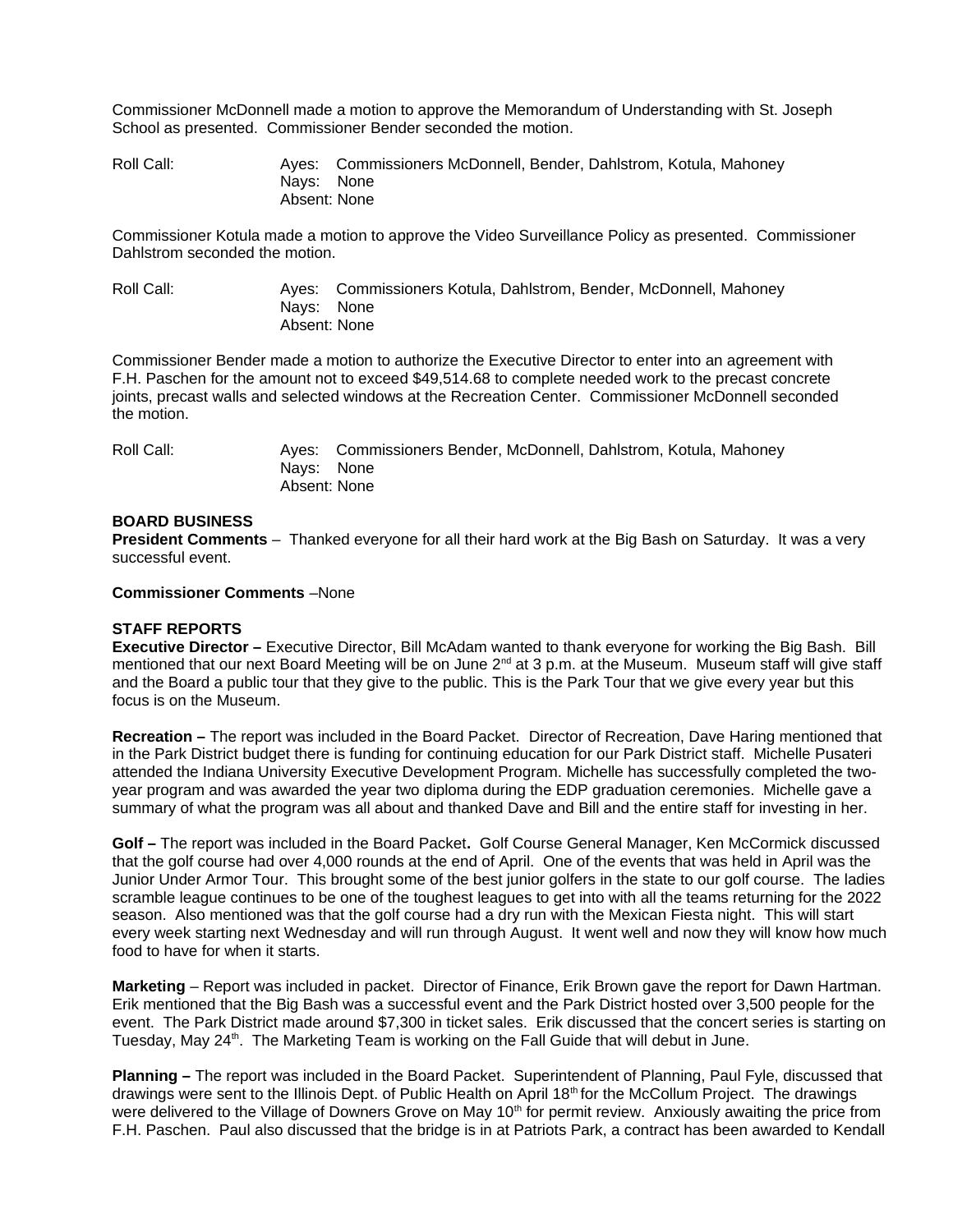Commissioner McDonnell made a motion to approve the Memorandum of Understanding with St. Joseph School as presented. Commissioner Bender seconded the motion.

Roll Call: Ayes: Commissioners McDonnell, Bender, Dahlstrom, Kotula, Mahoney Nays: None Absent: None

Commissioner Kotula made a motion to approve the Video Surveillance Policy as presented. Commissioner Dahlstrom seconded the motion.

Roll Call: Ayes: Commissioners Kotula, Dahlstrom, Bender, McDonnell, Mahoney Nays: None Absent: None

Commissioner Bender made a motion to authorize the Executive Director to enter into an agreement with F.H. Paschen for the amount not to exceed \$49,514.68 to complete needed work to the precast concrete joints, precast walls and selected windows at the Recreation Center. Commissioner McDonnell seconded the motion.

Roll Call: Ayes: Commissioners Bender, McDonnell, Dahlstrom, Kotula, Mahoney Nays: None Absent: None

## **BOARD BUSINESS**

**President Comments** – Thanked everyone for all their hard work at the Big Bash on Saturday. It was a very successful event.

### **Commissioner Comments** –None

### **STAFF REPORTS**

**Executive Director –** Executive Director, Bill McAdam wanted to thank everyone for working the Big Bash. Bill mentioned that our next Board Meeting will be on June 2<sup>nd</sup> at 3 p.m. at the Museum. Museum staff will give staff and the Board a public tour that they give to the public. This is the Park Tour that we give every year but this focus is on the Museum.

**Recreation –** The report was included in the Board Packet.Director of Recreation, Dave Haring mentioned that in the Park District budget there is funding for continuing education for our Park District staff. Michelle Pusateri attended the Indiana University Executive Development Program. Michelle has successfully completed the twoyear program and was awarded the year two diploma during the EDP graduation ceremonies. Michelle gave a summary of what the program was all about and thanked Dave and Bill and the entire staff for investing in her.

**Golf –** The report was included in the Board Packet**.** Golf Course General Manager, Ken McCormick discussed that the golf course had over 4,000 rounds at the end of April. One of the events that was held in April was the Junior Under Armor Tour. This brought some of the best junior golfers in the state to our golf course. The ladies scramble league continues to be one of the toughest leagues to get into with all the teams returning for the 2022 season. Also mentioned was that the golf course had a dry run with the Mexican Fiesta night. This will start every week starting next Wednesday and will run through August. It went well and now they will know how much food to have for when it starts.

**Marketing** – Report was included in packet. Director of Finance, Erik Brown gave the report for Dawn Hartman. Erik mentioned that the Big Bash was a successful event and the Park District hosted over 3,500 people for the event. The Park District made around \$7,300 in ticket sales. Erik discussed that the concert series is starting on Tuesday, May  $24<sup>th</sup>$ . The Marketing Team is working on the Fall Guide that will debut in June.

**Planning –** The report was included in the Board Packet. Superintendent of Planning, Paul Fyle, discussed that drawings were sent to the Illinois Dept. of Public Health on April 18<sup>th</sup> for the McCollum Project. The drawings were delivered to the Village of Downers Grove on May  $10<sup>th</sup>$  for permit review. Anxiously awaiting the price from F.H. Paschen. Paul also discussed that the bridge is in at Patriots Park, a contract has been awarded to Kendall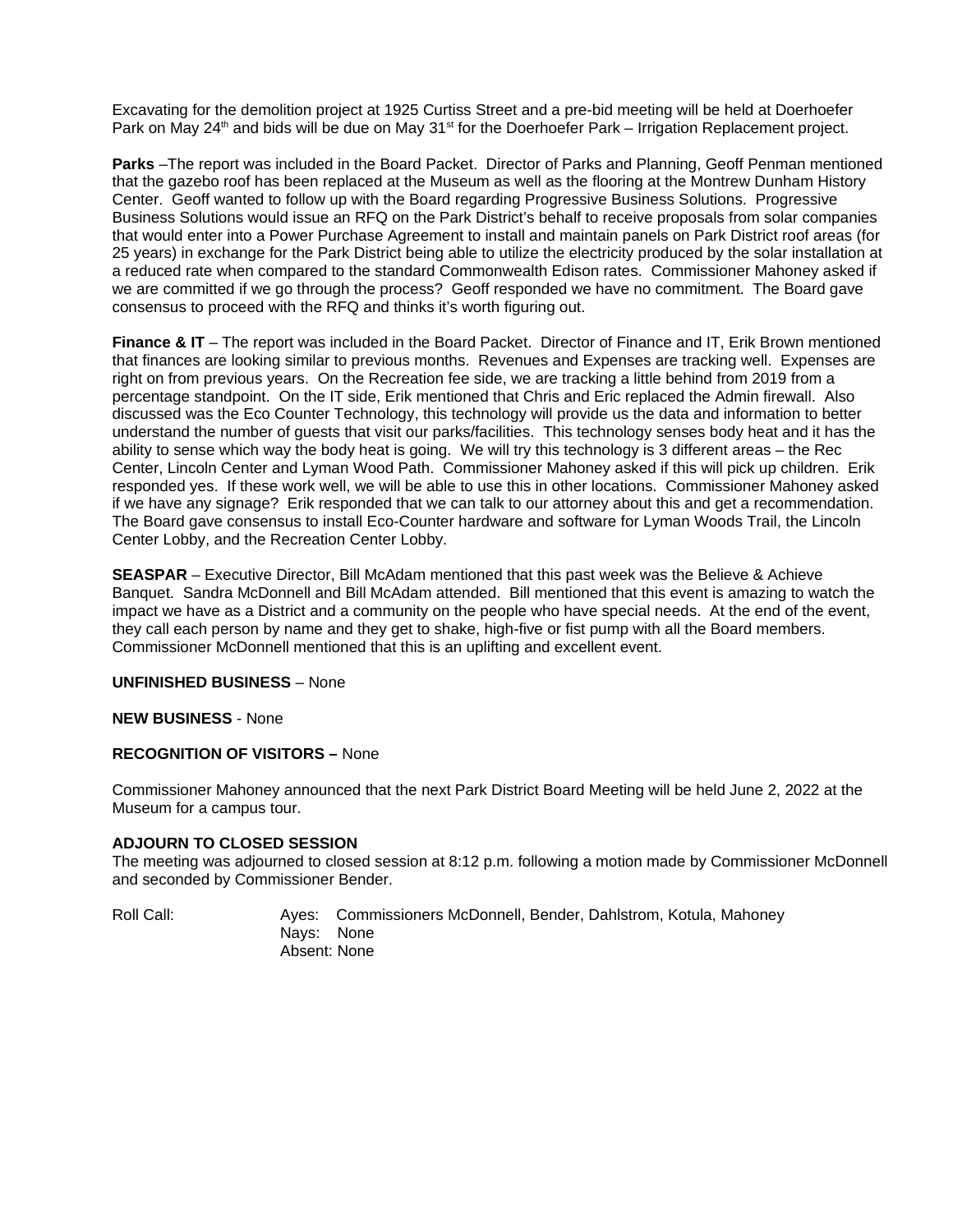Excavating for the demolition project at 1925 Curtiss Street and a pre-bid meeting will be held at Doerhoefer Park on May 24<sup>th</sup> and bids will be due on May  $31<sup>st</sup>$  for the Doerhoefer Park – Irrigation Replacement project.

**Parks** –The report was included in the Board Packet. Director of Parks and Planning, Geoff Penman mentioned that the gazebo roof has been replaced at the Museum as well as the flooring at the Montrew Dunham History Center. Geoff wanted to follow up with the Board regarding Progressive Business Solutions. Progressive Business Solutions would issue an RFQ on the Park District's behalf to receive proposals from solar companies that would enter into a Power Purchase Agreement to install and maintain panels on Park District roof areas (for 25 years) in exchange for the Park District being able to utilize the electricity produced by the solar installation at a reduced rate when compared to the standard Commonwealth Edison rates. Commissioner Mahoney asked if we are committed if we go through the process? Geoff responded we have no commitment. The Board gave consensus to proceed with the RFQ and thinks it's worth figuring out.

**Finance & IT** – The report was included in the Board Packet. Director of Finance and IT, Erik Brown mentioned that finances are looking similar to previous months. Revenues and Expenses are tracking well. Expenses are right on from previous years. On the Recreation fee side, we are tracking a little behind from 2019 from a percentage standpoint. On the IT side, Erik mentioned that Chris and Eric replaced the Admin firewall. Also discussed was the Eco Counter Technology, this technology will provide us the data and information to better understand the number of guests that visit our parks/facilities. This technology senses body heat and it has the ability to sense which way the body heat is going. We will try this technology is 3 different areas – the Rec Center, Lincoln Center and Lyman Wood Path. Commissioner Mahoney asked if this will pick up children. Erik responded yes. If these work well, we will be able to use this in other locations. Commissioner Mahoney asked if we have any signage? Erik responded that we can talk to our attorney about this and get a recommendation. The Board gave consensus to install Eco-Counter hardware and software for Lyman Woods Trail, the Lincoln Center Lobby, and the Recreation Center Lobby.

**SEASPAR** – Executive Director, Bill McAdam mentioned that this past week was the Believe & Achieve Banquet. Sandra McDonnell and Bill McAdam attended. Bill mentioned that this event is amazing to watch the impact we have as a District and a community on the people who have special needs. At the end of the event, they call each person by name and they get to shake, high-five or fist pump with all the Board members. Commissioner McDonnell mentioned that this is an uplifting and excellent event.

# **UNFINISHED BUSINESS** – None

#### **NEW BUSINESS** - None

### **RECOGNITION OF VISITORS –** None

Commissioner Mahoney announced that the next Park District Board Meeting will be held June 2, 2022 at the Museum for a campus tour.

# **ADJOURN TO CLOSED SESSION**

The meeting was adjourned to closed session at 8:12 p.m. following a motion made by Commissioner McDonnell and seconded by Commissioner Bender.

Roll Call: Ayes: Commissioners McDonnell, Bender, Dahlstrom, Kotula, Mahoney Nays: None Absent: None